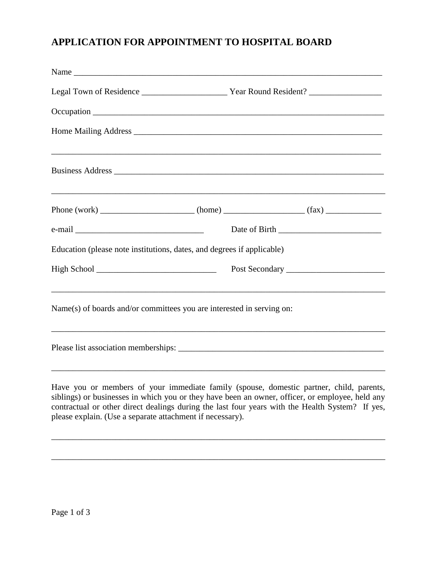## **APPLICATION FOR APPOINTMENT TO HOSPITAL BOARD**

| Legal Town of Residence _________________________ Year Round Resident? ________________                                                                                                    |  |  |
|--------------------------------------------------------------------------------------------------------------------------------------------------------------------------------------------|--|--|
|                                                                                                                                                                                            |  |  |
|                                                                                                                                                                                            |  |  |
|                                                                                                                                                                                            |  |  |
|                                                                                                                                                                                            |  |  |
|                                                                                                                                                                                            |  |  |
| Education (please note institutions, dates, and degrees if applicable)                                                                                                                     |  |  |
|                                                                                                                                                                                            |  |  |
| ,我们也不能在这里的时候,我们也不能在这里的时候,我们也不能不能不能不能不能不能不能不能不能不能不能不能不能不能。""我们,我们也不能不能不能不能不能不能不能不<br>Name(s) of boards and/or committees you are interested in serving on:                                  |  |  |
|                                                                                                                                                                                            |  |  |
| Have you or members of your immediate family (spouse, domestic partner, child, parents,<br>siblings) or businesses in which you or they have been an owner, officer, or employee, held any |  |  |

siblings) or businesses in which you or they have been an owner, officer, or employee, held any contractual or other direct dealings during the last four years with the Health System? If yes, please explain. (Use a separate attachment if necessary).

\_\_\_\_\_\_\_\_\_\_\_\_\_\_\_\_\_\_\_\_\_\_\_\_\_\_\_\_\_\_\_\_\_\_\_\_\_\_\_\_\_\_\_\_\_\_\_\_\_\_\_\_\_\_\_\_\_\_\_\_\_\_\_\_\_\_\_\_\_\_\_\_\_\_\_\_\_\_

\_\_\_\_\_\_\_\_\_\_\_\_\_\_\_\_\_\_\_\_\_\_\_\_\_\_\_\_\_\_\_\_\_\_\_\_\_\_\_\_\_\_\_\_\_\_\_\_\_\_\_\_\_\_\_\_\_\_\_\_\_\_\_\_\_\_\_\_\_\_\_\_\_\_\_\_\_\_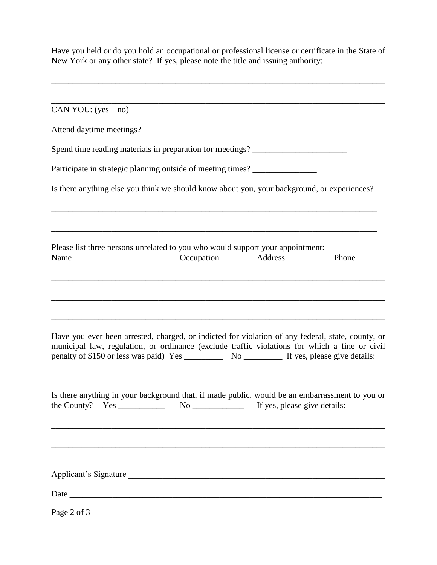Have you held or do you hold an occupational or professional license or certificate in the State of New York or any other state? If yes, please note the title and issuing authority:

\_\_\_\_\_\_\_\_\_\_\_\_\_\_\_\_\_\_\_\_\_\_\_\_\_\_\_\_\_\_\_\_\_\_\_\_\_\_\_\_\_\_\_\_\_\_\_\_\_\_\_\_\_\_\_\_\_\_\_\_\_\_\_\_\_\_\_\_\_\_\_\_\_\_\_\_\_\_

| CAN YOU: $(yes - no)$                                                                                                                                                                              |            |         |       |
|----------------------------------------------------------------------------------------------------------------------------------------------------------------------------------------------------|------------|---------|-------|
|                                                                                                                                                                                                    |            |         |       |
|                                                                                                                                                                                                    |            |         |       |
| Spend time reading materials in preparation for meetings? _______________________                                                                                                                  |            |         |       |
| Participate in strategic planning outside of meeting times?                                                                                                                                        |            |         |       |
| Is there anything else you think we should know about you, your background, or experiences?                                                                                                        |            |         |       |
| Please list three persons unrelated to you who would support your appointment:<br>Name                                                                                                             | Occupation | Address | Phone |
| Have you ever been arrested, charged, or indicted for violation of any federal, state, county, or<br>municipal law, regulation, or ordinance (exclude traffic violations for which a fine or civil |            |         |       |
|                                                                                                                                                                                                    |            |         |       |
| Is there anything in your background that, if made public, would be an embarrassment to you or                                                                                                     |            |         |       |
| Applicant's Signature                                                                                                                                                                              |            |         |       |
|                                                                                                                                                                                                    |            |         |       |
|                                                                                                                                                                                                    |            |         |       |
| Page 2 of 3                                                                                                                                                                                        |            |         |       |